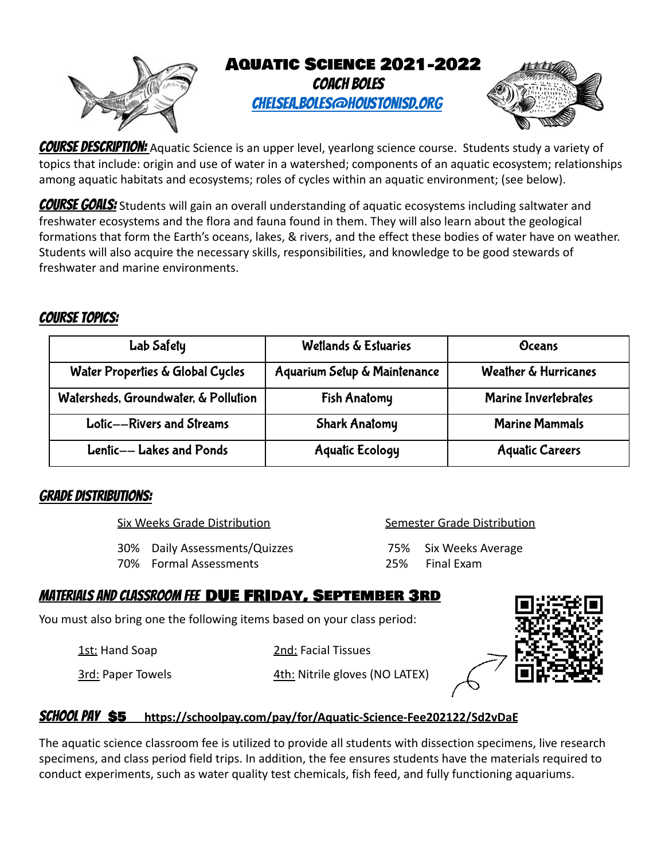

COURSE DESCRIPTION: Aquatic Science is an upper level, yearlong science course. Students study a variety of topics that include: origin and use of water in a watershed; components of an aquatic ecosystem; relationships among aquatic habitats and ecosystems; roles of cycles within an aquatic environment; (see below).

**COURSE GOALS:** Students will gain an overall understanding of aquatic ecosystems including saltwater and freshwater ecosystems and the flora and fauna found in them. They will also learn about the geological formations that form the Earth's oceans, lakes, & rivers, and the effect these bodies of water have on weather. Students will also acquire the necessary skills, responsibilities, and knowledge to be good stewards of freshwater and marine environments.

## Course Topics:

| Lab Safety                           | Wetlands & Estuaries         | Oceans                      |
|--------------------------------------|------------------------------|-----------------------------|
| Water Properties & Global Cycles     | Aquarium Setup & Maintenance | Weather & Hurricanes        |
| Watersheds, Groundwater, & Pollution | <b>Fish Anatomy</b>          | <b>Marine Invertebrates</b> |
| Lotic--Rivers and Streams            | <b>Shark Anatomy</b>         | <b>Marine Mammals</b>       |
| Lentic-- Lakes and Ponds             | <b>Aquatic Ecology</b>       | <b>Aquatic Careers</b>      |

#### Grade Distributions:

Six Weeks Grade Distribution Semester Grade Distribution

30% Daily Assessments/Quizzes 75% Six Weeks Average

70% Formal Assessments 25% Final Exam

# Materials and Classroom Fee DUE FRIday, September 3rd

You must also bring one the following items based on your class period:

1st: Hand Soap 2nd: Facial Tissues

3rd: Paper Towels 4th: Nitrile gloves (NO LATEX)



## SCHOOL PAY \$5 https://schoolpay.com/pay/for/Aquatic-Science-Fee202122/Sd2vDaE

The aquatic science classroom fee is utilized to provide all students with dissection specimens, live research specimens, and class period field trips. In addition, the fee ensures students have the materials required to conduct experiments, such as water quality test chemicals, fish feed, and fully functioning aquariums.